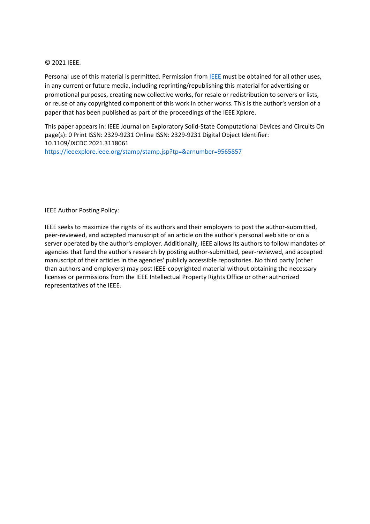## © 2021 IEEE.

Personal use of this material is permitted. Permission from **IEEE** must be obtained for all other uses, in any current or future media, including reprinting/republishing this material for advertising or promotional purposes, creating new collective works, for resale or redistribution to servers or lists, or reuse of any copyrighted component of this work in other works. This is the author's version of a paper that has been published as part of the proceedings of the IEEE Xplore.

This paper appears in: IEEE Journal on Exploratory Solid-State Computational Devices and Circuits On page(s): 0 Print ISSN: 2329-9231 Online ISSN: 2329-9231 Digital Object Identifier: 10.1109/JXCDC.2021.3118061 <https://ieeexplore.ieee.org/stamp/stamp.jsp?tp=&arnumber=9565857>

IEEE Author Posting Policy:

IEEE seeks to maximize the rights of its authors and their employers to post the author-submitted, peer-reviewed, and accepted manuscript of an article on the author's personal web site or on a server operated by the author's employer. Additionally, IEEE allows its authors to follow mandates of agencies that fund the author's research by posting author-submitted, peer-reviewed, and accepted manuscript of their articles in the agencies' publicly accessible repositories. No third party (other than authors and employers) may post IEEE-copyrighted material without obtaining the necessary licenses or permissions from the IEEE Intellectual Property Rights Office or other authorized representatives of the IEEE.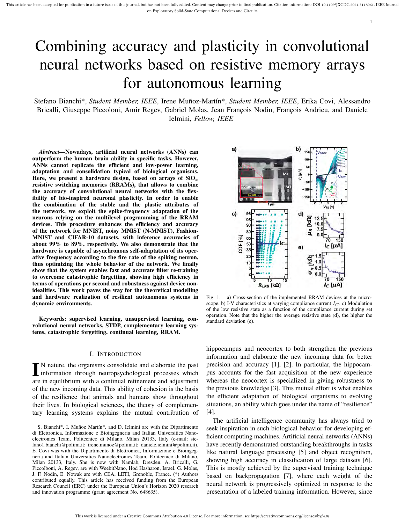# Combining accuracy and plasticity in convolutional neural networks based on resistive memory arrays for autonomous learning

Stefano Bianchi\*, *Student Member, IEEE*, Irene Muñoz-Martín\*, *Student Member, IEEE*, Erika Covi, Alessandro Bricalli, Giuseppe Piccoloni, Amir Regev, Gabriel Molas, Jean François Nodin, François Andrieu, and Daniele Ielmini, *Fellow, IEEE*

*Abstract*—Nowadays, artificial neural networks (ANNs) can outperform the human brain ability in specific tasks. However, ANNs cannot replicate the efficient and low-power learning, adaptation and consolidation typical of biological organisms. Here, we present a hardware design, based on arrays of  $SiO<sub>x</sub>$ resistive switching memories (RRAMs), that allows to combine the accuracy of convolutional neural networks with the flexibility of bio-inspired neuronal plasticity. In order to enable the combination of the stable and the plastic attributes of the network, we exploit the spike-frequency adaptation of the neurons relying on the multilevel programming of the RRAM devices. This procedure enhances the efficiency and accuracy of the network for MNIST, noisy MNIST (N-MNIST), Fashion-MNIST and CIFAR-10 datasets, with inference accuracies of about 99% to 89%, respectively. We also demonstrate that the hardware is capable of asynchronous self-adaptation of its operative frequency according to the fire rate of the spiking neuron, thus optimizing the whole behavior of the network. We finally show that the system enables fast and accurate filter re-training to overcome catastrophic forgetting, showing high efficiency in terms of operations per second and robustness against device nonidealities. This work paves the way for the theoretical modelling and hardware realization of resilient autonomous systems in dynamic environments.

Keywords: supervised learning, unsupervised learning, convolutional neural networks, STDP, complementary learning systems, catastrophic forgetting, continual learning, RRAM.

#### I. INTRODUCTION

IN nature, the organisms consolidate and elaborate the past<br>information through neuropsychological processes which N nature, the organisms consolidate and elaborate the past are in equilibrium with a continual refinement and adjustment of the new incoming data. This ability of cohesion is the basis of the resilience that animals and humans show throughout their lives. In biological sciences, the theory of complementary learning systems explains the mutual contribution of

S. Bianchi\*, I. Muñoz Martín\*, and D. Ielmini are with the Dipartimento di Elettronica, Informazione e Bioingegneria and Italian Universities Nanoelectronics Team, Politecnico di Milano, Milan 20133, Italy (e-mail: stefano1.bianchi@polimi.it; irene.munoz@polimi.it; daniele.ielmini@polimi.it). E. Covi was with the Dipartimento di Elettronica, Informazione e Bioingegneria and Italian Universities Nanoelectronics Team, Politecnico di Milano, Milan 20133, Italy. She is now with Namlab, Dresden. A. Bricalli, G. Piccolboni, A. Regev, are with WeebitNano, Hod Hasharon, Israel. G. Molas, J. F. Nodin, E. Nowak are with CEA, LETI, Grenoble, France. (\*) Authors contributed equally. This article has received funding from the European Research Council (ERC) under the European Union's Horizon 2020 research and innovation programme (grant agreement No. 648635).



1

Fig. 1. a) Cross-section of the implemented RRAM devices at the microscope. b) I-V characteristics at varying compliance current  $I_C$ . c) Modulation of the low resistive state as a function of the compliance current during set operation. Note that the higher the average resistive state (d), the higher the standard deviation (e).

hippocampus and neocortex to both strengthen the previous information and elaborate the new incoming data for better precision and accuracy [1], [2]. In particular, the hippocampus accounts for the fast acquisition of the new experience whereas the neocortex is specialized in giving robustness to the previous knowledge [3]. This mutual effort is what enables the efficient adaptation of biological organisms to evolving situations, an ability which goes under the name of "resilience" [4].

The artificial intelligence community has always tried to seek inspiration in such biological behavior for developing efficient computing machines. Artificial neural networks (ANNs) have recently demonstrated outstanding breakthroughs in tasks like natural language processing [5] and object recognition, showing high accuracy in classification of large datasets [6]. This is mostly achieved by the supervised training technique based on backpropagation [7], where each weight of the neural network is progressively optimized in response to the presentation of a labeled training information. However, since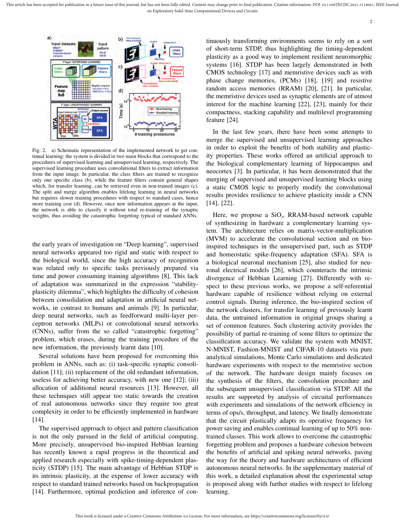

Fig. 2. a) Schematic representation of the implemented network to get continual learning: the system is divided in two main blocks that correspond to the procedures of supervised learning and unsupervised learning, respectively. The supervised learning procedure uses convolutional filters to extract information from the input image. In particular, the class filters are trained to recognize only one specific class (b), while the feature filters contain general shapes which, for transfer learning, can be retrieved even in non-trained images (c). The split and merge algorithm enables lifelong learning in neural networks but requires slower training procedures with respect to standard cases, hence more training cost (d). However, once new information appears at the input, the network is able to classify it without total re-training of the synaptic weights, thus avoiding the catastrophic forgetting typical of standard ANNs.

the early years of investigation on "Deep learning", supervised neural networks appeared too rigid and static with respect to the biological world, since the high accuracy of recognition was related only to specific tasks previously prepared via time and power consuming training algorithms [8]. This lack of adaptation was summarized in the expression "stabilityplasticity dilemma", which highlights the difficulty of cohesion between consolidation and adaptation in artificial neural networks, in contrast to humans and animals [9]. In particular, deep neural networks, such as feedforward multi-layer perceptron networks (MLPs) or convolutional neural networks (CNNs), suffer from the so called "catastrophic forgetting" problem, which erases, during the training procedure of the new information, the previously learnt data [10].

Several solutions have been proposed for overcoming this problem in ANNs, such as: (i) task-specific synaptic consolidation [11]; (ii) replacement of the old redundant information, useless for achieving better accuracy, with new one [12]; (iii) allocation of additional neural resources [13]. However, all these techniques still appear too static towards the creation of real autonomous networks since they require too great complexity in order to be efficiently implemented in hardware [14].

The supervised approach to object and pattern classification is not the only pursued in the field of artificial computing. More precisely, unsupervised bio-inspired Hebbian learning has recently known a rapid progress in the theoretical and applied research especially with spike-timing-dependent plasticity (STDP) [15]. The main advantage of Hebbian STDP is its intrinsic plasticity, at the expense of lower accuracy with respect to standard trained networks based on backpropagation [14]. Furthermore, optimal prediction and inference of con-

tinuously transforming environments seems to rely on a sort of short-term STDP, thus highlighting the timing-dependent plasticity as a good way to implement resilient neuromorphic systems [16]. STDP has been largely demonstrated in both CMOS technology [17] and memristive devices such as with phase change memories, (PCMs) [18], [19] and resistive random access memories (RRAM) [20], [21]. In particular, the memristive devices used as synaptic elements are of utmost interest for the machine learning [22], [23], mainly for their compactness, stacking capability and multilevel programming feature [24].

In the last few years, there have been some attempts to merge the supervised and unsupervised learning approaches in order to exploit the benefits of both stability and plasticity properties. These works offered an artificial approach to the biological complementary learning of hippocampus and neocortex [3]. In particular, it has been demonstrated that the merging of supervised and unsupervised learning blocks using a static CMOS logic to properly modify the convolutional results provides resilience to achieve plasticity inside a CNN [14], [22].

Here, we propose a  $SiO_x$  RRAM-based network capable of synthesizing in hardware a complementary learning system. The architecture relies on matrix-vector-multiplication (MVM) to accelerate the convolutional section and on bioinspired techniques in the unsupervised part, such as STDP and homeostatic spike-frequency adaptation (SFA). SFA is a biological neuronal mechanism [25], also studied for neuronal electrical models [26], which counteracts the intrinsic divergence of Hebbian Learning [27]. Differently with respect to these previous works, we propose a self-referential hardware capable of resilience without relying on external control signals. During inference, the bio-inspired section of the network clusters, for transfer learning of previously learnt data, the untrained information in original groups sharing a set of common features. Such clustering activity provides the possibility of partial re-training of some filters to optimize the classification accuracy. We validate the system with MNIST, N-MNIST, Fashion-MNIST and CIFAR-10 datasets via pure analytical simulations, Monte Carlo simulations and dedicated hardware experiments with respect to the memristive section of the network. The hardware design mainly focuses on the synthesis of the filters, the convolution procedure and the subsequent unsupervised classification via STDP. All the results are supported by analysis of circuital performances with experiments and simulations of the network efficiency in terms of ops/s, throughput, and latency. We finally demonstrate that the circuit plastically adapts its operative frequency for power saving and enables continual learning of up to 50% nontrained classes. This work allows to overcome the catastrophic forgetting problem and proposes a hardware cohesion between the benefits of artificial and spiking neural networks, paving the way for the theory and hardware architectures of efficient autonomous neural networks. In the supplementary material of this work, a detailed explanation about the experimental setup is proposed along with further studies with respect to lifelong learning.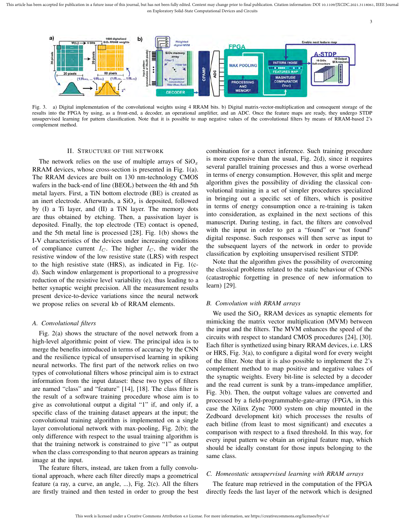This article has been accepted for publication in a future issue of this journal, but has not been fully edited. Content may change prior to final publication. Citation information: DOI 10.1109/JXCDC.2021.3118061, IEEE Jou on Exploratory Solid-State Computational Devices and Circuits



Fig. 3. a) Digital implementation of the convolutional weights using 4 RRAM bits. b) Digital matrix-vector-multiplication and consequent storage of the results into the FPGA by using, as a front-end, a decoder, an operational amplifier, and an ADC. Once the feature maps are ready, they undergo STDP unsupervised learning for pattern classification. Note that it is possible to map negative values of the convolutional filters by means of RRAM-based 2's complement method.

#### II. STRUCTURE OF THE NETWORK

The network relies on the use of multiple arrays of  $SiO<sub>x</sub>$ RRAM devices, whose cross-section is presented in Fig. 1(a). The RRAM devices are built on 130 nm-technology CMOS wafers in the back-end of line (BEOL) between the 4th and 5th metal layers. First, a TiN bottom electrode (BE) is created as an inert electrode. Afterwards, a  $SiO_x$  is deposited, followed by (I) a Ti layer, and (II) a TiN layer. The memory dots are thus obtained by etching. Then, a passivation layer is deposited. Finally, the top electrode (TE) contact is opened, and the 5th metal line is processed [28]. Fig. 1(b) shows the I-V characteristics of the devices under increasing conditions of compliance current  $I_C$ . The higher  $I_C$ , the wider the resistive window of the low resistive state (LRS) with respect to the high resistive state (HRS), as indicated in Fig. 1(cd). Such window enlargement is proportional to a progressive reduction of the resistive level variability (e), thus leading to a better synaptic weight precision. All the measurement results present device-to-device variations since the neural network we propose relies on several kb of RRAM elements.

## *A. Convolutional filters*

Fig. 2(a) shows the structure of the novel network from a high-level algorithmic point of view. The principal idea is to merge the benefits introduced in terms of accuracy by the CNN and the resilience typical of unsupervised learning in spiking neural networks. The first part of the network relies on two types of convolutional filters whose principal aim is to extract information from the input dataset: these two types of filters are named "class" and "feature" [14], [18]. The class filter is the result of a software training procedure whose aim is to give as convolutional output a digital "1" if, and only if, a specific class of the training dataset appears at the input; the convolutional training algorithm is implemented on a single layer convolutional network with max-pooling, Fig. 2(b); the only difference with respect to the usual training algorithm is that the training network is constrained to give "1" as output when the class corresponding to that neuron appears as training image at the input.

The feature filters, instead, are taken from a fully convolutional approach, where each filter directly maps a geometrical feature (a ray, a curve, an angle, ...), Fig. 2(c). All the filters are firstly trained and then tested in order to group the best

combination for a correct inference. Such training procedure is more expensive than the usual, Fig. 2(d), since it requires several parallel training processes and thus a worse overhead in terms of energy consumption. However, this split and merge algorithm gives the possibility of dividing the classical convolutional training in a set of simpler procedures specialized in bringing out a specific set of filters, which is positive in terms of energy consumption once a re-training is taken into consideration, as explained in the next sections of this manuscript. During testing, in fact, the filters are convolved with the input in order to get a "found" or "not found" digital response. Such responses will then serve as input to the subsequent layers of the network in order to provide classification by exploiting unsupervised resilient STDP.

Note that the algorithm gives the possibility of overcoming the classical problems related to the static behaviour of CNNs (catastrophic forgetting in presence of new information to learn) [29].

## *B. Convolution with RRAM arrays*

We used the  $SiO_x$  RRAM devices as synaptic elements for mimicking the matrix vector multiplication (MVM) between the input and the filters. The MVM enhances the speed of the circuits with respect to standard CMOS procedures [24], [30]. Each filter is synthetized using binary RRAM devices, i.e. LRS or HRS, Fig. 3(a), to configure a digital word for every weight of the filter. Note that it is also possible to implement the 2's complement method to map positive and negative values of the synaptic weights. Every bit-line is selected by a decoder and the read current is sunk by a trans-impedance amplifier, Fig. 3(b). Then, the output voltage values are converted and processed by a field-programmable-gate-array (FPGA, in this case the Xilinx Zync 7000 system on chip mounted in the Zedboard development kit) which processes the results of each bitline (from least to most significant) and executes a comparison with respect to a fixed threshold. In this way, for every input pattern we obtain an original feature map, which should be ideally constant for those inputs belonging to the same class.

## *C. Homeostatic unsupervised learning with RRAM arrays*

The feature map retrieved in the computation of the FPGA directly feeds the last layer of the network which is designed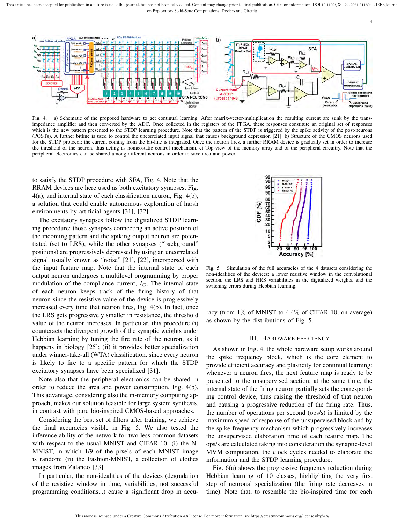

Fig. 4. a) Schematic of the proposed hardware to get continual learning. After matrix-vector-multiplication the resulting current are sunk by the transimpedance amplifier and then converted by the ADC. Once collected in the registers of the FPGA, these responses constitute an original set of responses which is the new pattern presented to the STDP learning procedure. Note that the pattern of the STDP is triggered by the spike activity of the post-neurons (POSTs). A further bitline is used to control the uncorrelated input signal that causes background depression [21]. b) Structure of the CMOS neurons used for the STDP protocol: the current coming from the bit-line is integrated. Once the neuron fires, a further RRAM device is gradually set in order to increase the threshold of the neuron, thus acting as homeostatic control mechanism. c) Top-view of the memory array and of the peripheral circuitry. Note that the peripheral electronics can be shared among different neurons in order to save area and power.

to satisfy the STDP procedure with SFA, Fig. 4. Note that the RRAM devices are here used as both excitatory synapses, Fig. 4(a), and internal state of each classification neuron, Fig. 4(b), a solution that could enable autonomous exploration of harsh environments by artificial agents [31], [32].

The excitatory synapses follow the digitalized STDP learning procedure: those synapses connecting an active position of the incoming pattern and the spiking output neuron are potentiated (set to LRS), while the other synapses ("background" positions) are progressively depressed by using an uncorrelated signal, usually known as "noise" [21], [22], interspersed with the input feature map. Note that the internal state of each output neuron undergoes a multilevel programming by proper modulation of the compliance current,  $I_C$ . The internal state of each neuron keeps track of the firing history of that neuron since the resistive value of the device is progressively increased every time that neuron fires, Fig. 4(b). In fact, once the LRS gets progressively smaller in resistance, the threshold value of the neuron increases. In particular, this procedure (i) counteracts the divergent growth of the synaptic weights under Hebbian learning by tuning the fire rate of the neuron, as it happens in biology [25]; (ii) it provides better specialization under winner-take-all (WTA) classification, since every neuron is likely to fire to a specific pattern for which the STDP excitatory synapses have been specialized [31].

Note also that the peripheral electronics can be shared in order to reduce the area and power consumption, Fig. 4(b). This advantage, considering also the in-memory computing approach, makes our solution feasible for large system synthesis, in contrast with pure bio-inspired CMOS-based approaches.

Considering the best set of filters after training, we achieve the final accuracies visible in Fig. 5. We also tested the inference ability of the network for two less-common datasets with respect to the usual MNIST and CIFAR-10: (i) the N-MNIST, in which 1/9 of the pixels of each MNIST image is random; (ii) the Fashion-MNIST, a collection of clothes images from Zalando [33].

In particular, the non-idealities of the devices (degradation of the resistive window in time, variabilities, not successful programming conditions...) cause a significant drop in accu-



4

Fig. 5. Simulation of the full accuracies of the 4 datasets considering the non-idealities of the devices: a lower resistive window in the convolutional section, the LRS and HRS variabilities in the digitalized weights, and the switching errors during Hebbian learning.

racy (from  $1\%$  of MNIST to 4.4% of CIFAR-10, on average) as shown by the distributions of Fig. 5.

#### III. HARDWARE EFFICIENCY

As shown in Fig. 4, the whole hardware setup works around the spike frequency block, which is the core element to provide efficient accuracy and plasticity for continual learning: whenever a neuron fires, the next feature map is ready to be presented to the unsupervised section; at the same time, the internal state of the firing neuron partially sets the corresponding control device, thus raising the threshold of that neuron and causing a progressive reduction of the firing rate. Thus, the number of operations per second (ops/s) is limited by the maximum speed of response of the unsupervised block and by the spike-frequency mechanism which progressively increases the unsupervised elaboration time of each feature map. The ops/s are calculated taking into consideration the synaptic-level MVM computation, the clock cycles needed to elaborate the information and the STDP learning procedure.

Fig. 6(a) shows the progressive frequency reduction during Hebbian learning of 10 classes, highlighting the very first step of neuronal specialization (the firing rate decreases in time). Note that, to resemble the bio-inspired time for each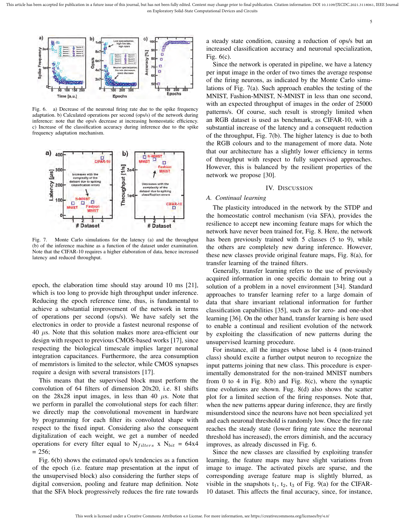



Fig. 6. a) Decrease of the neuronal firing rate due to the spike frequency adaptation. b) Calculated operations per second (ops/s) of the network during inference: note that the ops/s decrease at increasing homeostatic efficiency. c) Increase of the classification accuracy during inference due to the spike frequency adaptation mechanism.



Fig. 7. Monte Carlo simulations for the latency (a) and the throughput (b) of the inference machine as a function of the dataset under examination. Note that the CIFAR-10 requires a higher elaboration of data, hence increased latency and reduced throughput.

epoch, the elaboration time should stay around 10 ms [21], which is too long to provide high throughput under inference. Reducing the epoch reference time, thus, is fundamental to achieve a substantial improvement of the network in terms of operations per second (ops/s). We have safely set the electronics in order to provide a fastest neuronal response of  $40 \mu s$ . Note that this solution makes more area-efficient our design with respect to previous CMOS-based works [17], since respecting the biological timescale implies larger neuronal integration capacitances. Furthermore, the area consumption of memristors is limited to the selector, while CMOS synapses require a design with several transistors [17].

This means that the supervised block must perform the convolution of 64 filters of dimension 20x20, i.e. 81 shifts on the  $28x28$  input images, in less than 40  $\mu$ s. Note that we perform in parallel the convolutional steps for each filter: we directly map the convolutional movement in hardware by programming for each filter its convoluted shape with respect to the fixed input. Considering also the consequent digitalization of each weight, we get a number of needed operations for every filter equal to  $N_{filters}$  x  $N_{bit} = 64x4$  $= 256$ ;

Fig. 6(b) shows the estimated ops/s tendencies as a function of the epoch (i.e. feature map presentation at the input of the unsupervised block) also considering the further steps of digital conversion, pooling and feature map definition. Note that the SFA block progressively reduces the fire rate towards

a steady state condition, causing a reduction of ops/s but an increased classification accuracy and neuronal specialization, Fig. 6(c).

Since the network is operated in pipeline, we have a latency per input image in the order of two times the average response of the firing neurons, as indicated by the Monte Carlo simulations of Fig. 7(a). Such approach enables the testing of the MNIST, Fashion-MNIST, N-MNIST in less than one second, with an expected throughput of images in the order of 25000 patterns/s. Of course, such result is strongly limited when an RGB dataset is used as benchmark, as CIFAR-10, with a substantial increase of the latency and a consequent reduction of the throughput, Fig. 7(b). The higher latency is due to both the RGB colours and to the management of more data. Note that our architecture has a slightly lower efficiency in terms of throughput with respect to fully supervised approaches. However, this is balanced by the resilient properties of the network we propose [30].

#### IV. DISCUSSION

#### *A. Continual learning*

The plasticity introduced in the network by the STDP and the homeostatic control mechanism (via SFA), provides the resilience to accept new incoming feature maps for which the network have never been trained for, Fig. 8. Here, the network has been previously trained with 5 classes (5 to 9), while the others are completely new during inference. However, these new classes provide original feature maps, Fig. 8(a), for transfer learning of the trained filters.

Generally, transfer learning refers to the use of previously acquired information in one specific domain to bring out a solution of a problem in a novel environment [34]. Standard approaches to transfer learning refer to a large domain of data that share invariant relational information for further classification capabilities [35], such as for zero- and one-shot learning [36]. On the other hand, transfer learning is here used to enable a continual and resilient evolution of the network by exploiting the classification of new patterns during the unsupervised learning procedure.

For instance, all the images whose label is 4 (non-trained class) should excite a further output neuron to recognize the input patterns joining that new class. This procedure is experimentally demonstrated for the non-trained MNIST numbers from 0 to 4 in Fig. 8(b) and Fig. 8(c), where the synaptic time evolutions are shown. Fug. 8(d) also shows the scatter plot for a limited section of the firing responses. Note that, when the new patterns appear during inference, they are firstly misunderstood since the neurons have not been specialized yet and each neuronal threshold is randomly low. Once the fire rate reaches the steady state (lower firing rate since the neuronal threshold has increased), the errors diminish, and the accuracy improves, as already discussed in Fig. 6.

Since the new classes are classified by exploiting transfer learning, the feature maps may have slight variations from image to image. The activated pixels are sparse, and the corresponding average feature map is slightly blurred, as visible in the snapshots  $t_1$ ,  $t_2$ ,  $t_3$  of Fig. 9(a) for the CIFAR-10 dataset. This affects the final accuracy, since, for instance,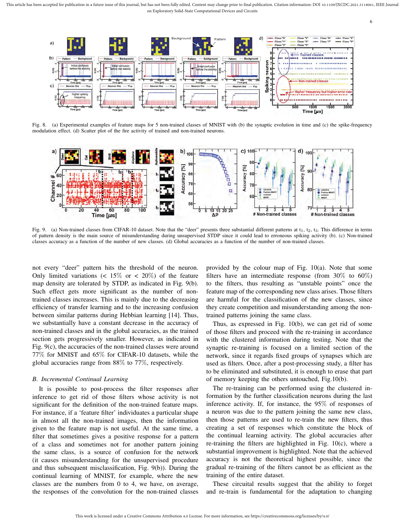



Fig. 8. (a) Experimental examples of feature maps for 5 non-trained classes of MNIST with (b) the synaptic evolution in time and (c) the spike-frequency modulation effect. (d) Scatter plot of the fire activity of trained and non-trained neurons.



Fig. 9. (a) Non-trained classes from CIFAR-10 dataset. Note that the "deer" presents three substantial different patterns at  $t_1$ ,  $t_2$ ,  $t_3$ . This difference in terms of pattern density is the main source of misunderstanding during unsupervised STDP since it could lead to erroneous spiking activity (b). (c) Non-trained classes accuracy as a function of the number of new classes. (d) Global accuracies as a function of the number of non-trained classes.

not every "deer" pattern hits the threshold of the neuron. Only limited variations ( $\lt 15\%$  or  $\lt 20\%$ ) of the feature map density are tolerated by STDP, as indicated in Fig. 9(b). Such effect gets more significant as the number of nontrained classes increases. This is mainly due to the decreasing efficiency of transfer learning and to the increasing confusion between similar patterns during Hebbian learning [14]. Thus, we substantially have a constant decrease in the accuracy of non-trained classes and in the global accuracies, as the trained section gets progressively smaller. However, as indicated in Fig. 9(c), the accuracies of the non-trained classes were around 77% for MNIST and 65% for CIFAR-10 datasets, while the global accuracies range from 88% to 77%, respectively.

#### *B. Incremental Continual Learning*

It is possible to post-process the filter responses after inference to get rid of those filters whose activity is not significant for the definition of the non-trained feature maps. For instance, if a 'feature filter' individuates a particular shape in almost all the non-trained images, then the information given to the feature map is not useful. At the same time, a filter that sometimes gives a positive response for a pattern of a class and sometimes not for another pattern joining the same class, is a source of confusion for the network (it causes misunderstanding for the unsupervised procedure and thus subsequent misclassification, Fig. 9(b)). During the continual learning of MNIST, for example, where the new classes are the numbers from 0 to 4, we have, on average, the responses of the convolution for the non-trained classes

provided by the colour map of Fig. 10(a). Note that some filters have an intermediate response (from  $30\%$  to  $60\%)$ to the filters, thus resulting as "unstable points" once the feature map of the corresponding new class arises. Those filters are harmful for the classification of the new classes, since they create competition and misunderstanding among the nontrained patterns joining the same class.

Thus, as expressed in Fig. 10(b), we can get rid of some of those filters and proceed with the re-training in accordance with the clustered information during testing. Note that the synaptic re-training is focused on a limited section of the network, since it regards fixed groups of synapses which are used as filters. Once, after a post-processing study, a filter has to be eliminated and substituted, it is enough to erase that part of memory keeping the others untouched, Fig.10(b).

The re-training can be performed using the clustered information by the further classification neurons during the last inference activity. If, for instance, the 95% of responses of a neuron was due to the pattern joining the same new class, then those patterns are used to re-train the new filters, thus creating a set of responses which constitute the block of the continual learning activity. The global accuracies after re-training the filters are highlighted in Fig. 10(c), where a substantial improvement is highlighted. Note that the achieved accuracy is not the theoretical highest possible, since the gradual re-training of the filters cannot be as efficient as the training of the entire dataset.

These circuital results suggest that the ability to forget and re-train is fundamental for the adaptation to changing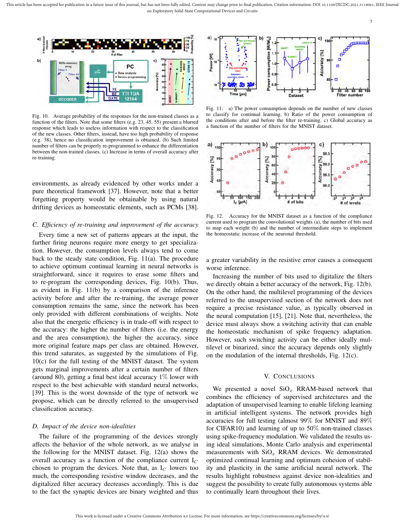

Fig. 10. Average probability of the responses for the non-trained classes as a function of the filters. Note that some filters (e.g. 23, 45, 55) present a blurred response which leads to useless information with respect to the classification of the new classes. Other filters, instead, have too high probability of response (e.g. 38), hence no classification improvement is obtained. (b) Such limited number of filters can be properly re-programmed to enhance the differentiation between the non-trained classes. (c) Increase in terms of overall accuracy after re-training.

environments, as already evidenced by other works under a pure theoretical framework [37]. However, note that a better forgetting property would be obtainable by using natural drifting devices as homeostatic elements, such as PCMs [38].

### *C. Efficiency of re-training and improvement of the accuracy*

Every time a new set of patterns appears at the input, the further firing neurons require more energy to get specialization. However, the consumption levels always tend to come back to the steady state condition, Fig. 11(a). The procedure to achieve optimum continual learning in neural networks is straightforward, since it requires to erase some filters and to re-program the corresponding devices, Fig. 10(b). Thus, as evident in Fig. 11(b) by a comparison of the inference activity before and after the re-training, the average power consumption remains the same, since the network has been only provided with different combinations of weights. Note also that the energetic efficiency is in trade-off with respect to the accuracy: the higher the number of filters (i.e. the energy and the area consumption), the higher the accuracy, since more original feature maps per class are obtained. However, this trend saturates, as suggested by the simulations of Fig. 10(c) for the full testing of the MNIST dataset. The system gets marginal improvements after a certain number of filters (around 80), getting a final best ideal accuracy 1% lower with respect to the best achievable with standard neural networks, [39]. This is the worst downside of the type of network we propose, which can be directly referred to the unsupervised classification accuracy.

#### *D. Impact of the device non-idealities*

The failure of the programming of the devices strongly affects the behavior of the whole network, as we analyse in the following for the MNIST dataset. Fig. 12(a) shows the overall accuracy as a function of the compliance current  $I_C$ chosen to program the devices. Note that, as  $I_C$  lowers too much, the corresponding resistive window decreases, and the digitalized filter accuracy decreases accordingly. This is due to the fact the synaptic devices are binary weighted and thus



Fig. 11. a) The power consumption depends on the number of new classes to classify for continual learning. b) Ratio of the power consumption of the conditions after and before the filter re-training. c) Global accuracy as a function of the number of filters for the MNIST dataset.



Fig. 12. Accuracy for the MNIST dataset as a function of the compliance current used to program the convolutional weights (a), the number of bits used to map each weight (b) and the number of intermediate steps to implement the homeostatic increase of the neuronal threshold.

a greater variability in the resistive error causes a consequent worse inference.

Increasing the number of bits used to digitalize the filters we directly obtain a better accuracy of the network, Fig. 12(b). On the other hand, the multilevel programming of the devices referred to the unsupervised section of the network does not require a precise resistance value, as typically observed in the neural computation [15], [21]. Note that, nevertheless, the device must always show a switching activity that can enable the homeostatic mechanism of spike frequency adaptation. However, such switching activity can be either ideally multilevel or binarized, since the accuracy depends only slightly on the modulation of the internal thresholds, Fig. 12(c).

#### V. CONCLUSIONS

We presented a novel  $SiO_x$  RRAM-based network that combines the efficiency of supervised architectures and the adaptation of unsupervised learning to enable lifelong learning in artificial intelligent systems. The network provides high accuracies for full testing (almost 99% for MNIST and 89% for CIFAR10) and learning of up to 50% non-trained classes using spike-frequency modulation. We validated the results using ideal simulations, Monte Carlo analysis and experimental measurements with  $SiO<sub>x</sub>$  RRAM devices. We demonstrated optimized continual learning and optimum cohesion of stability and plasticity in the same artificial neural network. The results highlight robustness against device non-idealities and suggest the possibility to create fully autonomous systems able to continually learn throughout their lives.